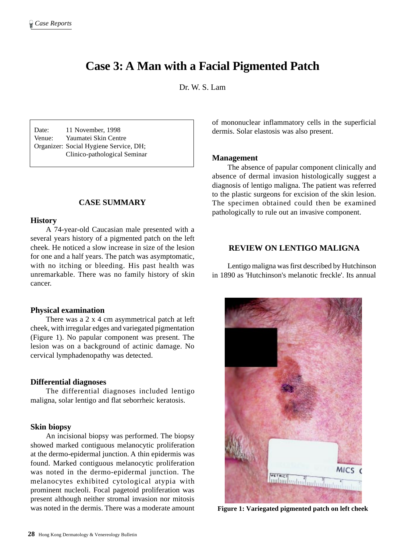# **Case 3: A Man with a Facial Pigmented Patch**

Dr. W. S. Lam

Date: 11 November, 1998 Venue: Yaumatei Skin Centre Organizer: Social Hygiene Service, DH; Clinico-pathological Seminar

## **CASE SUMMARY**

#### **History**

A 74-year-old Caucasian male presented with a several years history of a pigmented patch on the left cheek. He noticed a slow increase in size of the lesion for one and a half years. The patch was asymptomatic, with no itching or bleeding. His past health was unremarkable. There was no family history of skin cancer.

#### **Physical examination**

There was a 2 x 4 cm asymmetrical patch at left cheek, with irregular edges and variegated pigmentation (Figure 1). No papular component was present. The lesion was on a background of actinic damage. No cervical lymphadenopathy was detected.

#### **Differential diagnoses**

The differential diagnoses included lentigo maligna, solar lentigo and flat seborrheic keratosis.

#### **Skin biopsy**

An incisional biopsy was performed. The biopsy showed marked contiguous melanocytic proliferation at the dermo-epidermal junction. A thin epidermis was found. Marked contiguous melanocytic proliferation was noted in the dermo-epidermal junction. The melanocytes exhibited cytological atypia with prominent nucleoli. Focal pagetoid proliferation was present although neither stromal invasion nor mitosis was noted in the dermis. There was a moderate amount of mononuclear inflammatory cells in the superficial dermis. Solar elastosis was also present.

#### **Management**

The absence of papular component clinically and absence of dermal invasion histologically suggest a diagnosis of lentigo maligna. The patient was referred to the plastic surgeons for excision of the skin lesion. The specimen obtained could then be examined pathologically to rule out an invasive component.

# **REVIEW ON LENTIGO MALIGNA**

Lentigo maligna was first described by Hutchinson in 1890 as 'Hutchinson's melanotic freckle'. Its annual



**Figure 1: Variegated pigmented patch on left cheek**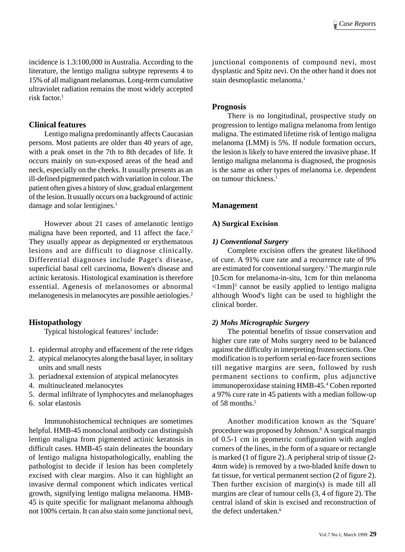incidence is 1.3:100,000 in Australia. According to the literature, the lentigo maligna subtype represents 4 to 15% of all malignant melanomas. Long-term cumulative ultraviolet radiation remains the most widely accepted risk factor.1

## **Clinical features**

Lentigo maligna predominantly affects Caucasian persons. Most patients are older than 40 years of age, with a peak onset in the 7th to 8th decades of life. It occurs mainly on sun-exposed areas of the head and neck, especially on the cheeks. It usually presents as an ill-defined pigmented patch with variation in colour. The patient often gives a history of slow, gradual enlargement of the lesion. It usually occurs on a background of actinic damage and solar lentigines.<sup>1</sup>

However about 21 cases of amelanotic lentigo maligna have been reported, and 11 affect the face.<sup>2</sup> They usually appear as depigmented or erythematous lesions and are difficult to diagnose clinically. Differential diagnoses include Paget's disease, superficial basal cell carcinoma, Bowen's disease and actinic keratosis. Histological examination is therefore essential. Agenesis of melanosomes or abnormal melanogenesis in melanocytes are possible aetiologies.2

# **Histopathology**

Typical histological features<sup>1</sup> include:

- 1. epidermal atrophy and effacement of the rete ridges
- 2. atypical melanocytes along the basal layer, in solitary units and small nests
- 3. periadnexal extension of atypical melanocytes
- 4. multinucleated melanocytes
- 5. dermal infiltrate of lymphocytes and melanophages
- 6. solar elastosis

Immunohistochemical techniques are sometimes helpful. HMB-45 monoclonal antibody can distinguish lentigo maligna from pigmented actinic keratosis in difficult cases. HMB-45 stain delineates the boundary of lentigo maligna histopathologically, enabling the pathologist to decide if lesion has been completely excised with clear margins. Also it can highlight an invasive dermal component which indicates vertical growth, signifying lentigo maligna melanoma. HMB-45 is quite specific for malignant melanoma although not 100% certain. It can also stain some junctional nevi,

junctional components of compound nevi, most dysplastic and Spitz nevi. On the other hand it does not stain desmoplastic melanoma.<sup>1</sup>

## **Prognosis**

There is no longitudinal, prospective study on progression to lentigo maligna melanoma from lentigo maligna. The estimated lifetime risk of lentigo maligna melanoma (LMM) is 5%. If nodule formation occurs, the lesion is likely to have entered the invasive phase. If lentigo maligna melanoma is diagnosed, the prognosis is the same as other types of melanoma i.e. dependent on tumour thickness.<sup>1</sup>

# **Management**

## **A) Surgical Excision**

## *1) Conventional Surgery*

Complete excision offers the greatest likelihood of cure. A 91% cure rate and a recurrence rate of 9% are estimated for conventional surgery.<sup>1</sup> The margin rule [0.5cm for melanoma-in-situ, 1cm for thin melanoma <1mm]3 cannot be easily applied to lentigo maligna although Wood's light can be used to highlight the clinical border.

# *2) Mohs Micrographic Surgery*

The potential benefits of tissue conservation and higher cure rate of Mohs surgery need to be balanced against the difficulty in interpreting frozen sections. One modification is to perform serial en-face frozen sections till negative margins are seen, followed by rush permanent sections to confirm, plus adjunctive immunoperoxidase staining HMB-45.4 Cohen reported a 97% cure rate in 45 patients with a median follow-up of 58 months.<sup>5</sup>

Another modification known as the 'Square' procedure was proposed by Johnson.6 A surgical margin of 0.5-1 cm in geometric configuration with angled corners of the lines, in the form of a square or rectangle is marked (1 of figure 2). A peripheral strip of tissue (2- 4mm wide) is removed by a two-bladed knife down to fat tissue, for vertical permanent section (2 of figure 2). Then further excision of margin(s) is made till all margins are clear of tumour cells (3, 4 of figure 2). The central island of skin is excised and reconstruction of the defect undertaken.<sup>6</sup>